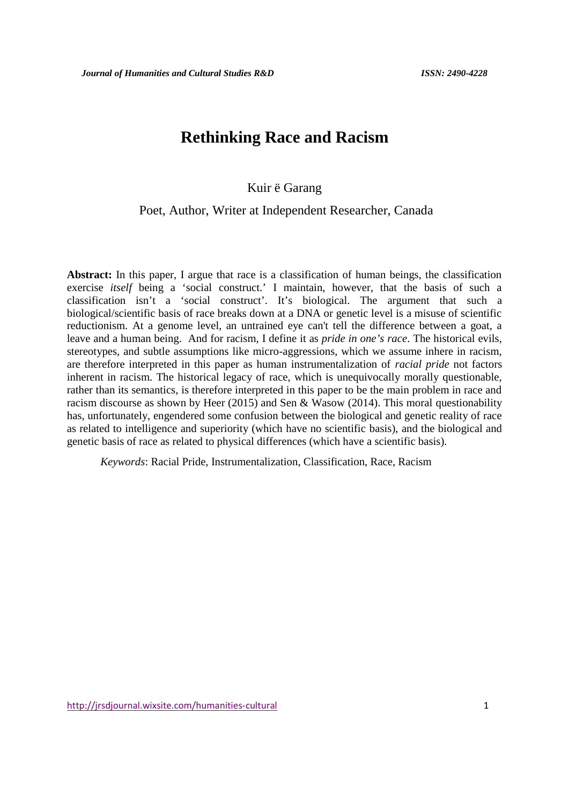# **Rethinking Race and Racism**

# Kuir ë Garang

# Poet, Author, Writer at Independent Researcher, Canada

**Abstract:** In this paper, I argue that race is a classification of human beings, the classification exercise *itself* being a 'social construct.' I maintain, however, that the basis of such a classification isn't a 'social construct'. It's biological. The argument that such a biological/scientific basis of race breaks down at a DNA or genetic level is a misuse of scientific reductionism. At a genome level, an untrained eye can't tell the difference between a goat, a leave and a human being. And for racism, I define it as *pride in one's race*. The historical evils, stereotypes, and subtle assumptions like micro-aggressions, which we assume inhere in racism, are therefore interpreted in this paper as human instrumentalization of *racial pride* not factors inherent in racism. The historical legacy of race, which is unequivocally morally questionable, rather than its semantics, is therefore interpreted in this paper to be the main problem in race and racism discourse as shown by Heer (2015) and Sen & Wasow (2014). This moral questionability has, unfortunately, engendered some confusion between the biological and genetic reality of race as related to intelligence and superiority (which have no scientific basis), and the biological and genetic basis of race as related to physical differences (which have a scientific basis).

*Keywords*: Racial Pride, Instrumentalization, Classification, Race, Racism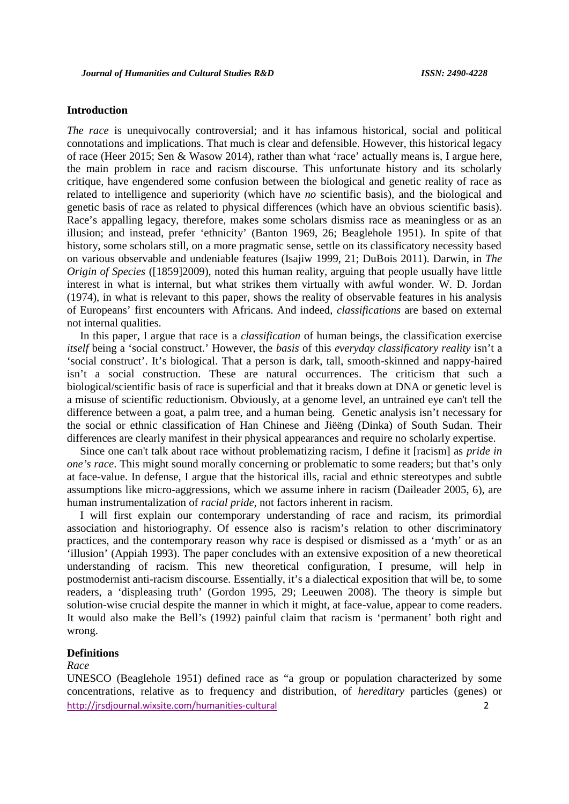## **Introduction**

*The race* is unequivocally controversial; and it has infamous historical, social and political connotations and implications. That much is clear and defensible. However, this historical legacy of race (Heer 2015; Sen & Wasow 2014), rather than what 'race' actually means is, I argue here, the main problem in race and racism discourse. This unfortunate history and its scholarly critique, have engendered some confusion between the biological and genetic reality of race as related to intelligence and superiority (which have *no* scientific basis), and the biological and genetic basis of race as related to physical differences (which have an obvious scientific basis). Race's appalling legacy, therefore, makes some scholars dismiss race as meaningless or as an illusion; and instead, prefer 'ethnicity' (Banton 1969, 26; Beaglehole 1951). In spite of that history, some scholars still, on a more pragmatic sense, settle on its classificatory necessity based on various observable and undeniable features (Isajiw 1999, 21; DuBois 2011). Darwin, in *The Origin of Species* ([1859]2009), noted this human reality, arguing that people usually have little interest in what is internal, but what strikes them virtually with awful wonder. W. D. Jordan (1974), in what is relevant to this paper, shows the reality of observable features in his analysis of Europeans' first encounters with Africans. And indeed, *classifications* are based on external not internal qualities.

In this paper, I argue that race is a *classification* of human beings, the classification exercise *itself* being a 'social construct.' However, the *basis* of this *everyday classificatory reality* isn't a 'social construct'. It's biological. That a person is dark, tall, smooth-skinned and nappy-haired isn't a social construction. These are natural occurrences. The criticism that such a biological/scientific basis of race is superficial and that it breaks down at DNA or genetic level is a misuse of scientific reductionism. Obviously, at a genome level, an untrained eye can't tell the difference between a goat, a palm tree, and a human being. Genetic analysis isn't necessary for the social or ethnic classification of Han Chinese and Jiëëng (Dinka) of South Sudan. Their differences are clearly manifest in their physical appearances and require no scholarly expertise.

Since one can't talk about race without problematizing racism, I define it [racism] as *pride in one's race*. This might sound morally concerning or problematic to some readers; but that's only at face-value. In defense, I argue that the historical ills, racial and ethnic stereotypes and subtle assumptions like micro-aggressions, which we assume inhere in racism (Daileader 2005, 6), are human instrumentalization of *racial pride,* not factors inherent in racism.

I will first explain our contemporary understanding of race and racism, its primordial association and historiography. Of essence also is racism's relation to other discriminatory practices, and the contemporary reason why race is despised or dismissed as a 'myth' or as an 'illusion' (Appiah 1993). The paper concludes with an extensive exposition of a new theoretical understanding of racism. This new theoretical configuration, I presume, will help in postmodernist anti-racism discourse. Essentially, it's a dialectical exposition that will be, to some readers, a 'displeasing truth' (Gordon 1995, 29; Leeuwen 2008). The theory is simple but solution-wise crucial despite the manner in which it might, at face-value, appear to come readers. It would also make the Bell's (1992) painful claim that racism is 'permanent' both right and wrong.

### **Definitions**

### *Race*

http://jrsdjournal.wixsite.com/humanities-cultural 2 UNESCO (Beaglehole 1951) defined race as "a group or population characterized by some concentrations, relative as to frequency and distribution, of *hereditary* particles (genes) or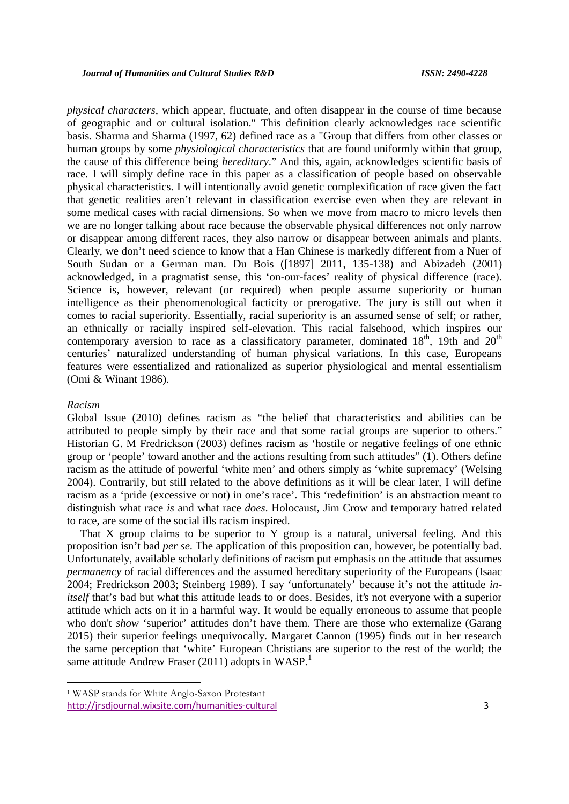*physical characters*, which appear, fluctuate, and often disappear in the course of time because of geographic and or cultural isolation." This definition clearly acknowledges race scientific basis. Sharma and Sharma (1997, 62) defined race as a "Group that differs from other classes or human groups by some *physiological characteristics* that are found uniformly within that group, the cause of this difference being *hereditary*." And this, again, acknowledges scientific basis of race. I will simply define race in this paper as a classification of people based on observable physical characteristics. I will intentionally avoid genetic complexification of race given the fact that genetic realities aren't relevant in classification exercise even when they are relevant in some medical cases with racial dimensions. So when we move from macro to micro levels then we are no longer talking about race because the observable physical differences not only narrow or disappear among different races, they also narrow or disappear between animals and plants. Clearly, we don't need science to know that a Han Chinese is markedly different from a Nuer of South Sudan or a German man. Du Bois ([1897] 2011, 135-138) and Abizadeh (2001) acknowledged, in a pragmatist sense, this 'on-our-faces' reality of physical difference (race)*.* Science is, however, relevant (or required) when people assume superiority or human intelligence as their phenomenological facticity or prerogative. The jury is still out when it comes to racial superiority. Essentially, racial superiority is an assumed sense of self; or rather, an ethnically or racially inspired self-elevation. This racial falsehood, which inspires our contemporary aversion to race as a classificatory parameter, dominated  $18<sup>th</sup>$ , 19th and  $20<sup>th</sup>$ centuries' naturalized understanding of human physical variations. In this case, Europeans features were essentialized and rationalized as superior physiological and mental essentialism (Omi & Winant 1986).

#### *Racism*

Global Issue (2010) defines racism as "the belief that characteristics and abilities can be attributed to people simply by their race and that some racial groups are superior to others." Historian G. M Fredrickson (2003) defines racism as 'hostile or negative feelings of one ethnic group or 'people' toward another and the actions resulting from such attitudes" (1). Others define racism as the attitude of powerful 'white men' and others simply as 'white supremacy' (Welsing 2004). Contrarily, but still related to the above definitions as it will be clear later, I will define racism as a 'pride (excessive or not) in one's race'. This 'redefinition' is an abstraction meant to distinguish what race *is* and what race *does*. Holocaust, Jim Crow and temporary hatred related to race, are some of the social ills racism inspired.

That X group claims to be superior to Y group is a natural, universal feeling. And this proposition isn't bad *per se*. The application of this proposition can, however, be potentially bad. Unfortunately, available scholarly definitions of racism put emphasis on the attitude that assumes *permanency* of racial differences and the assumed hereditary superiority of the Europeans (Isaac 2004; Fredrickson 2003; Steinberg 1989). I say 'unfortunately' because it's not the attitude *initself* that's bad but what this attitude leads to or does. Besides, it's not everyone with a superior attitude which acts on it in a harmful way. It would be equally erroneous to assume that people who don't *show* 'superior' attitudes don't have them. There are those who externalize (Garang 2015) their superior feelings unequivocally. Margaret Cannon (1995) finds out in her research the same perception that 'white' European Christians are superior to the rest of the world; the same attitude Andrew Fraser (2011) adopts in WASP.<sup>1</sup>

<sup>1</sup> WASP stands for White Anglo-Saxon Protestant

http://jrsdjournal.wixsite.com/humanities-cultural 3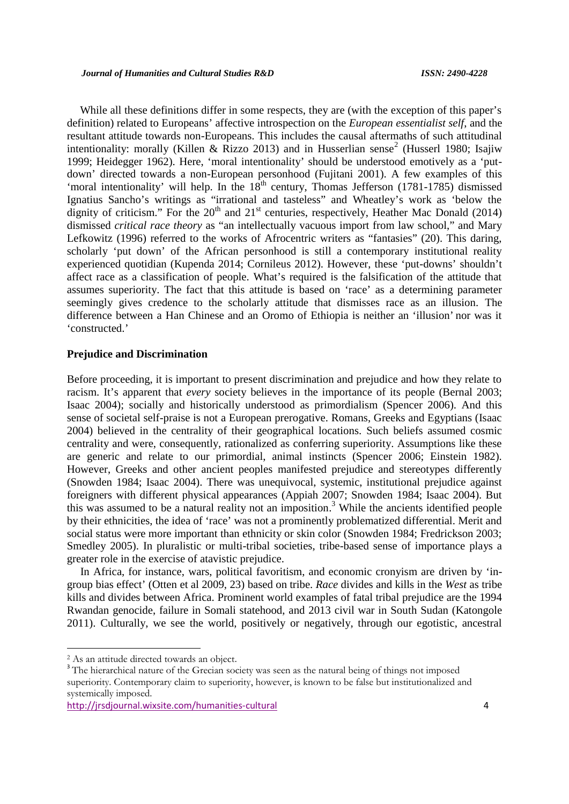While all these definitions differ in some respects, they are (with the exception of this paper's definition) related to Europeans' affective introspection on the *European essentialist self*, and the resultant attitude towards non-Europeans. This includes the causal aftermaths of such attitudinal intentionality: morally (Killen & Rizzo 2013) and in Husserlian sense<sup>2</sup> (Husserl 1980; Isajiw 1999; Heidegger 1962). Here, 'moral intentionality' should be understood emotively as a 'put down' directed towards a non-European personhood (Fujitani 2001). A few examples of this 'moral intentionality' will help. In the  $18<sup>th</sup>$  century, Thomas Jefferson (1781-1785) dismissed Ignatius Sancho's writings as "irrational and tasteless" and Wheatley's work as 'below the dignity of criticism." For the  $20<sup>th</sup>$  and  $21<sup>st</sup>$  centuries, respectively, Heather Mac Donald (2014) dismissed *critical race theory* as "an intellectually vacuous import from law school," and Mary Lefkowitz (1996) referred to the works of Afrocentric writers as "fantasies" (20). This daring, scholarly 'put down' of the African personhood is still a contemporary institutional reality experienced quotidian (Kupenda 2014; Cornileus 2012). However, these 'put-downs' shouldn't affect race as a classification of people. What's required is the falsification of the attitude that assumes superiority. The fact that this attitude is based on 'race' as a determining parameter seemingly gives credence to the scholarly attitude that dismisses race as an illusion. The difference between a Han Chinese and an Oromo of Ethiopia is neither an 'illusion' nor was it 'constructed.'

### **Prejudice and Discrimination**

Before proceeding, it is important to present discrimination and prejudice and how they relate to racism. It's apparent that *every* society believes in the importance of its people (Bernal 2003; Isaac 2004); socially and historically understood as primordialism (Spencer 2006). And this sense of societal self-praise is not a European prerogative. Romans, Greeks and Egyptians (Isaac 2004) believed in the centrality of their geographical locations. Such beliefs assumed cosmic centrality and were, consequently, rationalized as conferring superiority. Assumptions like these are generic and relate to our primordial, animal instincts (Spencer 2006; Einstein 1982). However, Greeks and other ancient peoples manifested prejudice and stereotypes differently (Snowden 1984; Isaac 2004). There was unequivocal, systemic, institutional prejudice against foreigners with different physical appearances (Appiah 2007; Snowden 1984; Isaac 2004). But this was assumed to be a natural reality not an imposition.<sup>3</sup> While the ancients identified people by their ethnicities, the idea of 'race' was not a prominently problematized differential. Merit and social status were more important than ethnicity or skin color (Snowden 1984; Fredrickson 2003; Smedley 2005). In pluralistic or multi-tribal societies, tribe-based sense of importance plays a greater role in the exercise of atavistic prejudice.

In Africa, for instance, wars, political favoritism, and economic cronyism are driven by 'in group bias effect' (Otten et al 2009, 23) based on tribe. *Race* divides and kills in the *West* as tribe kills and divides between Africa. Prominent world examples of fatal tribal prejudice are the 1994 Rwandan genocide, failure in Somali statehood, and 2013 civil war in South Sudan (Katongole 2011). Culturally, we see the world, positively or negatively, through our egotistic, ancestral

<sup>&</sup>lt;sup>2</sup> As an attitude directed towards an object.<br><sup>3</sup> The hierarchical nature of the Grecian society was seen as the natural being of things not imposed superiority. Contemporary claim to superiority, however, is known to be false but institutionalized and systemically imposed.

http://jrsdjournal.wixsite.com/humanities-cultural 4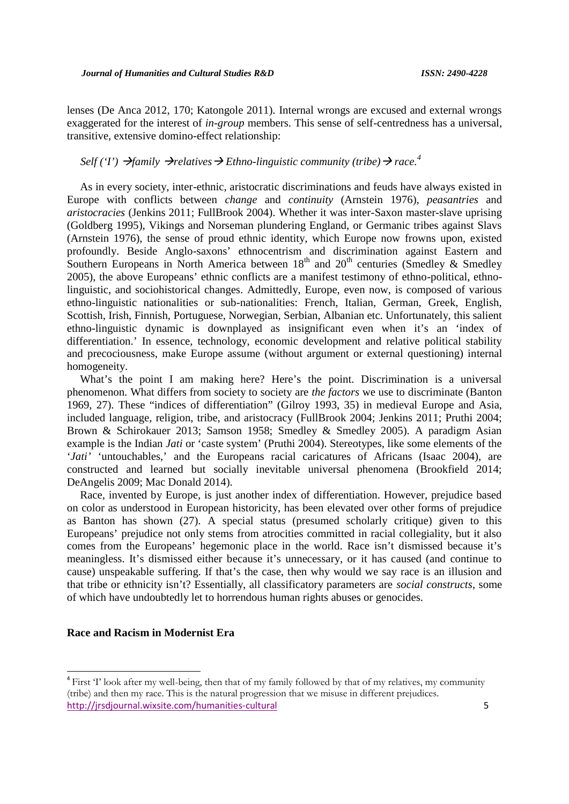lenses (De Anca 2012, 170; Katongole 2011). Internal wrongs are excused and external wrongs exaggerated for the interest of *in-group* members. This sense of self-centredness has a universal, transitive, extensive domino-effect relationship:

# Self ('I')  $\rightarrow$  *family*  $\rightarrow$  *relatives*  $\rightarrow$  *Ethno-linguistic community (tribe)*  $\rightarrow$  *race.*<sup>4</sup>

As in every society, inter-ethnic, aristocratic discriminations and feuds have always existed in Europe with conflicts between *change* and *continuity* (Arnstein 1976), *peasantries* and *aristocracies* (Jenkins 2011; FullBrook 2004). Whether it was inter-Saxon master-slave uprising (Goldberg 1995), Vikings and Norseman plundering England, or Germanic tribes against Slavs (Arnstein 1976), the sense of proud ethnic identity, which Europe now frowns upon, existed profoundly. Beside Anglo-saxons' ethnocentrism and discrimination against Eastern and Southern Europeans in North America between  $18<sup>th</sup>$  and  $20<sup>th</sup>$  centuries (Smedley & Smedley 2005), the above Europeans' ethnic conflicts are a manifest testimony of ethno-political, ethnolinguistic, and sociohistorical changes. Admittedly, Europe, even now, is composed of various ethno-linguistic nationalities or sub-nationalities: French, Italian, German, Greek, English, Scottish, Irish, Finnish, Portuguese, Norwegian, Serbian, Albanian etc. Unfortunately, this salient ethno-linguistic dynamic is downplayed as insignificant even when it's an 'index of differentiation.' In essence, technology, economic development and relative political stability and precociousness, make Europe assume (without argument or external questioning) internal homogeneity.

What's the point I am making here? Here's the point. Discrimination is a universal phenomenon. What differs from society to society are *the factors* we use to discriminate (Banton 1969, 27). These "indices of differentiation" (Gilroy 1993, 35) in medieval Europe and Asia, included language, religion, tribe, and aristocracy (FullBrook 2004; Jenkins 2011; Pruthi 2004; Brown & Schirokauer 2013; Samson 1958; Smedley & Smedley 2005). A paradigm Asian example is the Indian *Jati* or 'caste system' (Pruthi 2004). Stereotypes, like some elements of the '*Jati'* 'untouchables,' and the Europeans racial caricatures of Africans (Isaac 2004), are constructed and learned but socially inevitable universal phenomena (Brookfield 2014; DeAngelis 2009; Mac Donald 2014).

Race, invented by Europe, is just another index of differentiation. However, prejudice based on color as understood in European historicity, has been elevated over other forms of prejudice as Banton has shown (27). A special status (presumed scholarly critique) given to this Europeans' prejudice not only stems from atrocities committed in racial collegiality, but it also comes from the Europeans' hegemonic place in the world. Race isn't dismissed because it's meaningless. It's dismissed either because it's unnecessary, or it has caused (and continue to cause) unspeakable suffering. If that's the case, then why would we say race is an illusion and that tribe or ethnicity isn't? Essentially, all classificatory parameters are *social constructs*, some of which have undoubtedly let to horrendous human rights abuses or genocides.

### **Race and Racism in Modernist Era**

http://jrsdjournal.wixsite.com/humanities-cultural 5 <sup>4</sup> First 'I' look after my well-being, then that of my family followed by that of my relatives, my community (tribe) and then my race. This is the natural progression that we misuse in different prejudices.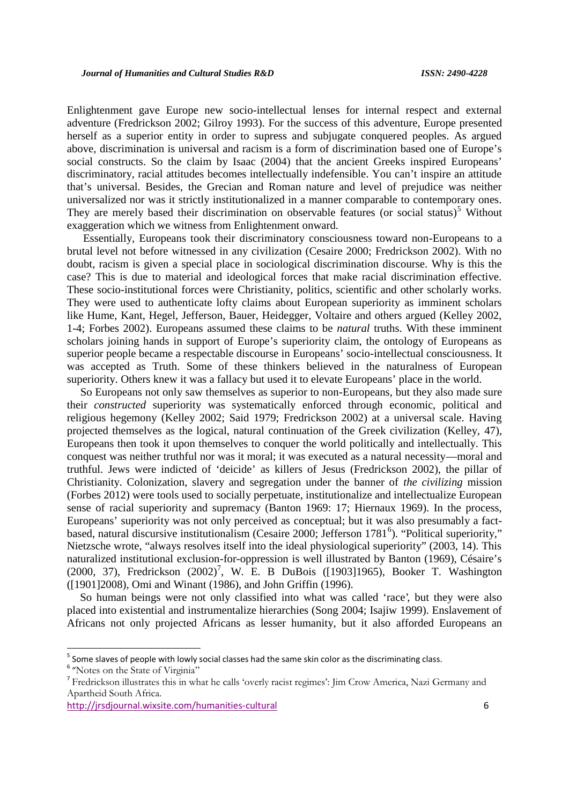Enlightenment gave Europe new socio-intellectual lenses for internal respect and external adventure (Fredrickson 2002; Gilroy 1993). For the success of this adventure, Europe presented herself as a superior entity in order to supress and subjugate conquered peoples. As argued above, discrimination is universal and racism is a form of discrimination based one of Europe's social constructs. So the claim by Isaac (2004) that the ancient Greeks inspired Europeans' discriminatory, racial attitudes becomes intellectually indefensible. You can't inspire an attitude that's universal. Besides, the Grecian and Roman nature and level of prejudice was neither universalized nor was it strictly institutionalized in a manner comparable to contemporary ones. They are merely based their discrimination on observable features (or social status)<sup>5</sup> Without exaggeration which we witness from Enlightenment onward.

Essentially, Europeans took their discriminatory consciousness toward non-Europeans to a brutal level not before witnessed in any civilization (Cesaire 2000; Fredrickson 2002). With no doubt, racism is given a special place in sociological discrimination discourse. Why is this the case? This is due to material and ideological forces that make racial discrimination effective. These socio-institutional forces were Christianity, politics, scientific and other scholarly works. They were used to authenticate lofty claims about European superiority as imminent scholars like Hume, Kant, Hegel, Jefferson, Bauer, Heidegger, Voltaire and others argued (Kelley 2002, 1-4; Forbes 2002). Europeans assumed these claims to be *natural* truths. With these imminent scholars joining hands in support of Europe's superiority claim, the ontology of Europeans as superior people became a respectable discourse in Europeans' socio-intellectual consciousness. It was accepted as Truth. Some of these thinkers believed in the naturalness of European superiority. Others knew it was a fallacy but used it to elevate Europeans' place in the world.

So Europeans not only saw themselves as superior to non-Europeans, but they also made sure their *constructed* superiority was systematically enforced through economic, political and religious hegemony (Kelley 2002; Said 1979; Fredrickson 2002) at a universal scale. Having projected themselves as the logical, natural continuation of the Greek civilization (Kelley, 47), Europeans then took it upon themselves to conquer the world politically and intellectually. This conquest was neither truthful nor was it moral; it was executed as a natural necessity—moral and truthful. Jews were indicted of 'deicide' as killers of Jesus (Fredrickson 2002), the pillar of Christianity. Colonization, slavery and segregation under the banner of *the civilizing* mission (Forbes 2012) were tools used to socially perpetuate, institutionalize and intellectualize European sense of racial superiority and supremacy (Banton 1969: 17; Hiernaux 1969). In the process, Europeans' superiority was not only perceived as conceptual; but it was also presumably a fact based, natural discursive institutionalism (Cesaire 2000; Jefferson 1781<sup>6</sup>). "Political superiority," Nietzsche wrote, "always resolves itself into the ideal physiological superiority" (2003, 14). This naturalized institutional exclusion-for-oppression is well illustrated by Banton (1969), Césaire's (2000, 37), Fredrickson (2002)<sup>7</sup>, W. E. B DuBois ([1903]1965), Booker T. Washington ([1901]2008)*,* Omi and Winant (1986), and John Griffin (1996).

So human beings were not only classified into what was called 'race', but they were also placed into existential and instrumentalize hierarchies (Song 2004; Isajiw 1999). Enslavement of Africans not only projected Africans as lesser humanity, but it also afforded Europeans an

<sup>&</sup>lt;sup>5</sup> Some slaves of people with lowly social classes had the same skin color as the discriminating class.  $6 \text{ W}{\text{rates}}$  on the State of Virginia"

<sup>7</sup> Fredrickson illustrates this in what he calls 'overly racist regimes': Jim Crow America, Nazi Germany and Apartheid South Africa.

http://jrsdjournal.wixsite.com/humanities-cultural 6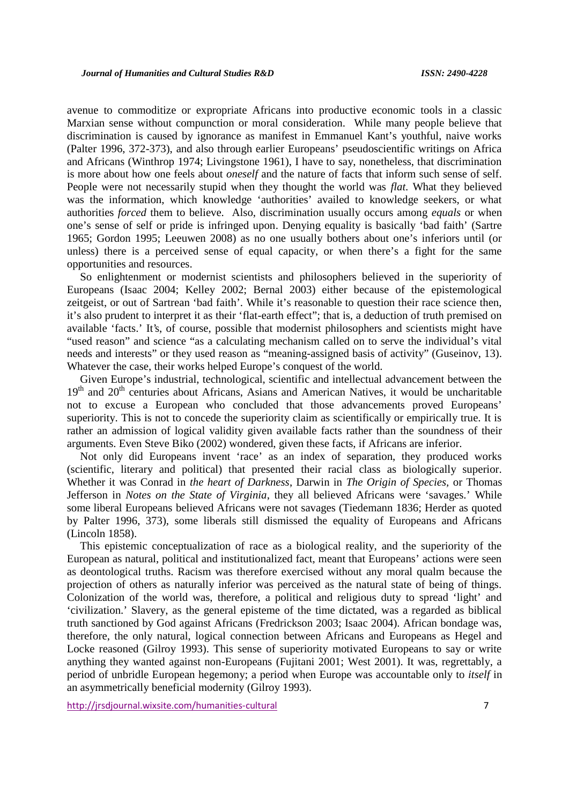avenue to commoditize or expropriate Africans into productive economic tools in a classic Marxian sense without compunction or moral consideration. While many people believe that discrimination is caused by ignorance as manifest in Emmanuel Kant's youthful, naive works (Palter 1996, 372-373), and also through earlier Europeans' pseudoscientific writings on Africa and Africans (Winthrop 1974; Livingstone 1961), I have to say, nonetheless, that discrimination is more about how one feels about *oneself* and the nature of facts that inform such sense of self. People were not necessarily stupid when they thought the world was *flat*. What they believed was the information, which knowledge 'authorities' availed to knowledge seekers, or what authorities *forced* them to believe. Also, discrimination usually occurs among *equals* or when one's sense of self or pride is infringed upon. Denying equality is basically 'bad faith' (Sartre 1965; Gordon 1995; Leeuwen 2008) as no one usually bothers about one's inferiors until (or unless) there is a perceived sense of equal capacity, or when there's a fight for the same opportunities and resources.

So enlightenment or modernist scientists and philosophers believed in the superiority of Europeans (Isaac 2004; Kelley 2002; Bernal 2003) either because of the epistemological zeitgeist, or out of Sartrean 'bad faith'. While it's reasonable to question their race science then, it's also prudent to interpret it as their 'flat-earth effect"; that is, a deduction of truth premised on available 'facts.' It's, of course, possible that modernist philosophers and scientists might have "used reason" and science "as a calculating mechanism called on to serve the individual's vital needs and interests" or they used reason as "meaning-assigned basis of activity" (Guseinov, 13). Whatever the case, their works helped Europe's conquest of the world.

Given Europe's industrial, technological, scientific and intellectual advancement between the  $19<sup>th</sup>$  and  $20<sup>th</sup>$  centuries about Africans, Asians and American Natives, it would be uncharitable not to excuse a European who concluded that those advancements proved Europeans' superiority. This is not to concede the superiority claim as scientifically or empirically true. It is rather an admission of logical validity given available facts rather than the soundness of their arguments. Even Steve Biko (2002) wondered, given these facts, if Africans are inferior.

Not only did Europeans invent 'race' as an index of separation, they produced works (scientific, literary and political) that presented their racial class as biologically superior. Whether it was Conrad in *the heart of Darkness*, Darwin in *The Origin of Species,* or Thomas Jefferson in *Notes on the State of Virginia*, they all believed Africans were 'savages.' While some liberal Europeans believed Africans were not savages (Tiedemann 1836; Herder as quoted by Palter 1996, 373), some liberals still dismissed the equality of Europeans and Africans (Lincoln 1858).

This epistemic conceptualization of race as a biological reality, and the superiority of the European as natural, political and institutionalized fact, meant that Europeans' actions were seen as deontological truths. Racism was therefore exercised without any moral qualm because the projection of others as naturally inferior was perceived as the natural state of being of things. Colonization of the world was, therefore, a political and religious duty to spread 'light' and 'civilization.' Slavery, as the general episteme of the time dictated, was a regarded as biblical truth sanctioned by God against Africans (Fredrickson 2003; Isaac 2004). African bondage was, therefore, the only natural, logical connection between Africans and Europeans as Hegel and Locke reasoned (Gilroy 1993). This sense of superiority motivated Europeans to say or write anything they wanted against non-Europeans (Fujitani 2001; West 2001). It was, regrettably, a period of unbridle European hegemony; a period when Europe was accountable only to *itself* in an asymmetrically beneficial modernity (Gilroy 1993).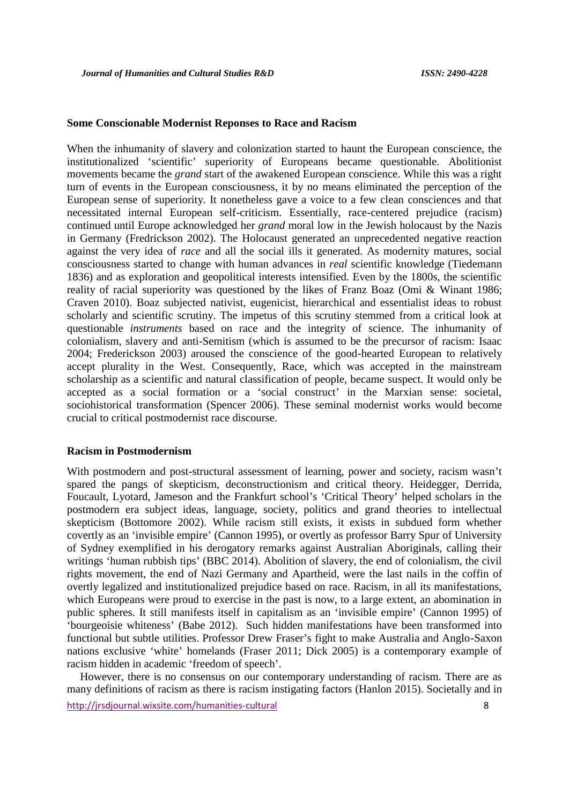### **Some Conscionable Modernist Reponses to Race and Racism**

When the inhumanity of slavery and colonization started to haunt the European conscience, the institutionalized 'scientific' superiority of Europeans became questionable. Abolitionist movements became the *grand* start of the awakened European conscience. While this was a right turn of events in the European consciousness, it by no means eliminated the perception of the European sense of superiority. It nonetheless gave a voice to a few clean consciences and that necessitated internal European self-criticism. Essentially, race-centered prejudice (racism) continued until Europe acknowledged her *grand* moral low in the Jewish holocaust by the Nazis in Germany (Fredrickson 2002). The Holocaust generated an unprecedented negative reaction against the very idea of *race* and all the social ills it generated. As modernity matures, social consciousness started to change with human advances in *real* scientific knowledge (Tiedemann 1836) and as exploration and geopolitical interests intensified. Even by the 1800s, the scientific reality of racial superiority was questioned by the likes of Franz Boaz (Omi & Winant 1986; Craven 2010). Boaz subjected nativist, eugenicist, hierarchical and essentialist ideas to robust scholarly and scientific scrutiny. The impetus of this scrutiny stemmed from a critical look at questionable *instruments* based on race and the integrity of science. The inhumanity of colonialism, slavery and anti-Semitism (which is assumed to be the precursor of racism: Isaac 2004; Frederickson 2003) aroused the conscience of the good-hearted European to relatively accept plurality in the West. Consequently, Race, which was accepted in the mainstream scholarship as a scientific and natural classification of people, became suspect. It would only be accepted as a social formation or a 'social construct' in the Marxian sense: societal, sociohistorical transformation (Spencer 2006). These seminal modernist works would become crucial to critical postmodernist race discourse.

### **Racism in Postmodernism**

With postmodern and post-structural assessment of learning, power and society, racism wasn't spared the pangs of skepticism, deconstructionism and critical theory. Heidegger, Derrida, Foucault, Lyotard, Jameson and the Frankfurt school's 'Critical Theory' helped scholars in the postmodern era subject ideas, language, society, politics and grand theories to intellectual skepticism (Bottomore 2002). While racism still exists, it exists in subdued form whether covertly as an 'invisible empire' (Cannon 1995), or overtly as professor Barry Spur of University of Sydney exemplified in his derogatory remarks against Australian Aboriginals, calling their writings 'human rubbish tips' (BBC 2014). Abolition of slavery, the end of colonialism, the civil rights movement, the end of Nazi Germany and Apartheid, were the last nails in the coffin of overtly legalized and institutionalized prejudice based on race. Racism, in all its manifestations, which Europeans were proud to exercise in the past is now, to a large extent, an abomination in public spheres. It still manifests itself in capitalism as an 'invisible empire' (Cannon 1995) of 'bourgeoisie whiteness' (Babe 2012). Such hidden manifestations have been transformed into functional but subtle utilities. Professor Drew Fraser's fight to make Australia and Anglo-Saxon nations exclusive 'white' homelands (Fraser 2011; Dick 2005) is a contemporary example of racism hidden in academic 'freedom of speech'.

However, there is no consensus on our contemporary understanding of racism. There are as many definitions of racism as there is racism instigating factors (Hanlon 2015). Societally and in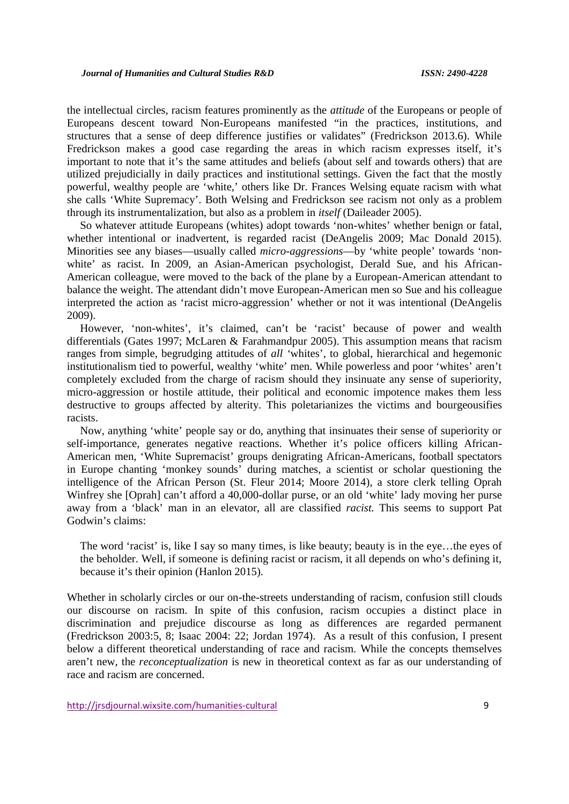the intellectual circles, racism features prominently as the *attitude* of the Europeans or people of Europeans descent toward Non-Europeans manifested "in the practices, institutions, and structures that a sense of deep difference justifies or validates" (Fredrickson 2013.6). While Fredrickson makes a good case regarding the areas in which racism expresses itself, it's important to note that it's the same attitudes and beliefs (about self and towards others) that are utilized prejudicially in daily practices and institutional settings. Given the fact that the mostly powerful, wealthy people are 'white,' others like Dr. Frances Welsing equate racism with what she calls 'White Supremacy'. Both Welsing and Fredrickson see racism not only as a problem through its instrumentalization, but also as a problem in *itself* (Daileader 2005).

So whatever attitude Europeans (whites) adopt towards 'non-whites' whether benign or fatal, whether intentional or inadvertent, is regarded racist (DeAngelis 2009; Mac Donald 2015). Minorities see any biases—usually called *micro-aggressions*—by 'white people' towards 'non white' as racist. In 2009, an Asian-American psychologist, Derald Sue, and his African- American colleague, were moved to the back of the plane by a European-American attendant to balance the weight. The attendant didn't move European-American men so Sue and his colleague interpreted the action as 'racist micro-aggression' whether or not it was intentional (DeAngelis 2009).

However, 'non-whites', it's claimed, can't be 'racist' because of power and wealth differentials (Gates 1997; McLaren & Farahmandpur 2005). This assumption means that racism ranges from simple, begrudging attitudes of *all '*whites', to global, hierarchical and hegemonic institutionalism tied to powerful, wealthy 'white' men. While powerless and poor 'whites' aren't completely excluded from the charge of racism should they insinuate any sense of superiority, micro-aggression or hostile attitude, their political and economic impotence makes them less destructive to groups affected by alterity. This poletarianizes the victims and bourgeousifies racists.

Now, anything 'white' people say or do, anything that insinuates their sense of superiority or self-importance, generates negative reactions. Whether it's police officers killing African- American men, 'White Supremacist' groups denigrating African-Americans, football spectators in Europe chanting 'monkey sounds' during matches, a scientist or scholar questioning the intelligence of the African Person (St. Fleur 2014; Moore 2014), a store clerk telling Oprah Winfrey she [Oprah] can't afford a 40,000-dollar purse, or an old 'white' lady moving her purse away from a 'black' man in an elevator, all are classified *racist.* This seems to support Pat Godwin's claims:

The word 'racist' is, like I say so many times, is like beauty; beauty is in the eye…the eyes of the beholder. Well, if someone is defining racist or racism, it all depends on who's defining it, because it's their opinion (Hanlon 2015).

Whether in scholarly circles or our on-the-streets understanding of racism, confusion still clouds our discourse on racism. In spite of this confusion, racism occupies a distinct place in discrimination and prejudice discourse as long as differences are regarded permanent (Fredrickson 2003:5, 8; Isaac 2004: 22; Jordan 1974). As a result of this confusion, I present below a different theoretical understanding of race and racism. While the concepts themselves aren't new, the *reconceptualization* is new in theoretical context as far as our understanding of race and racism are concerned.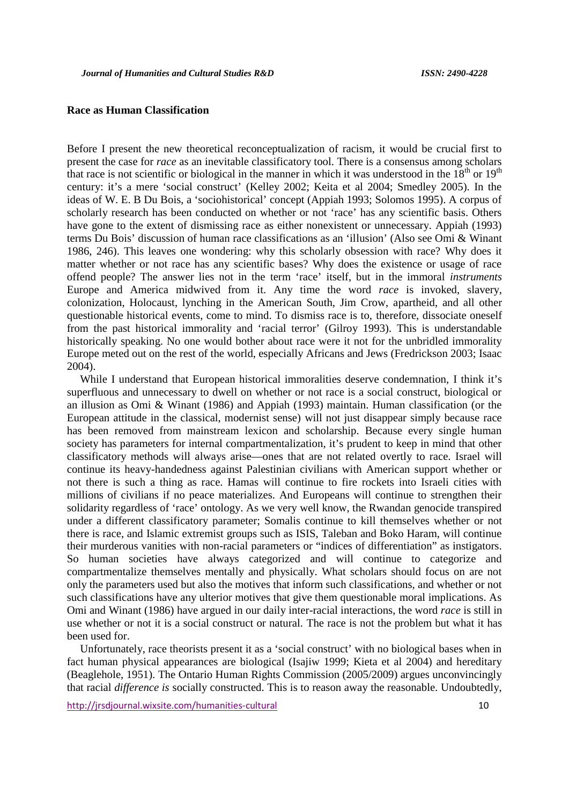## **Race as Human Classification**

Before I present the new theoretical reconceptualization of racism, it would be crucial first to present the case for *race* as an inevitable classificatory tool. There is a consensus among scholars that race is not scientific or biological in the manner in which it was understood in the  $18<sup>th</sup>$  or  $19<sup>th</sup>$ century: it's a mere 'social construct' (Kelley 2002; Keita et al 2004; Smedley 2005). In the ideas of W. E. B Du Bois, a 'sociohistorical' concept (Appiah 1993; Solomos 1995). A corpus of scholarly research has been conducted on whether or not 'race' has any scientific basis. Others have gone to the extent of dismissing race as either nonexistent or unnecessary. Appiah (1993) terms Du Bois' discussion of human race classifications as an 'illusion' (Also see Omi & Winant 1986, 246). This leaves one wondering: why this scholarly obsession with race? Why does it matter whether or not race has any scientific bases? Why does the existence or usage of race offend people? The answer lies not in the term 'race' itself, but in the immoral *instruments* Europe and America midwived from it. Any time the word *race* is invoked, slavery, colonization, Holocaust, lynching in the American South, Jim Crow, apartheid, and all other questionable historical events, come to mind. To dismiss race is to, therefore, dissociate oneself from the past historical immorality and 'racial terror' (Gilroy 1993). This is understandable historically speaking. No one would bother about race were it not for the unbridled immorality Europe meted out on the rest of the world, especially Africans and Jews (Fredrickson 2003; Isaac 2004).

While I understand that European historical immoralities deserve condemnation, I think it's superfluous and unnecessary to dwell on whether or not race is a social construct, biological or an illusion as Omi & Winant (1986) and Appiah (1993) maintain. Human classification (or the European attitude in the classical, modernist sense) will not just disappear simply because race has been removed from mainstream lexicon and scholarship. Because every single human society has parameters for internal compartmentalization, it's prudent to keep in mind that other classificatory methods will always arise—ones that are not related overtly to race. Israel will continue its heavy-handedness against Palestinian civilians with American support whether or not there is such a thing as race. Hamas will continue to fire rockets into Israeli cities with millions of civilians if no peace materializes. And Europeans will continue to strengthen their solidarity regardless of 'race' ontology. As we very well know, the Rwandan genocide transpired under a different classificatory parameter; Somalis continue to kill themselves whether or not there is race, and Islamic extremist groups such as ISIS, Taleban and Boko Haram, will continue their murderous vanities with non-racial parameters or "indices of differentiation" as instigators. So human societies have always categorized and will continue to categorize and compartmentalize themselves mentally and physically. What scholars should focus on are not only the parameters used but also the motives that inform such classifications, and whether or not such classifications have any ulterior motives that give them questionable moral implications. As Omi and Winant (1986) have argued in our daily inter-racial interactions, the word *race* is still in use whether or not it is a social construct or natural. The race is not the problem but what it has been used for.

Unfortunately, race theorists present it as a 'social construct' with no biological bases when in fact human physical appearances are biological (Isajiw 1999; Kieta et al 2004) and hereditary (Beaglehole, 1951). The Ontario Human Rights Commission (2005/2009) argues unconvincingly that racial *difference is* socially constructed. This is to reason away the reasonable. Undoubtedly,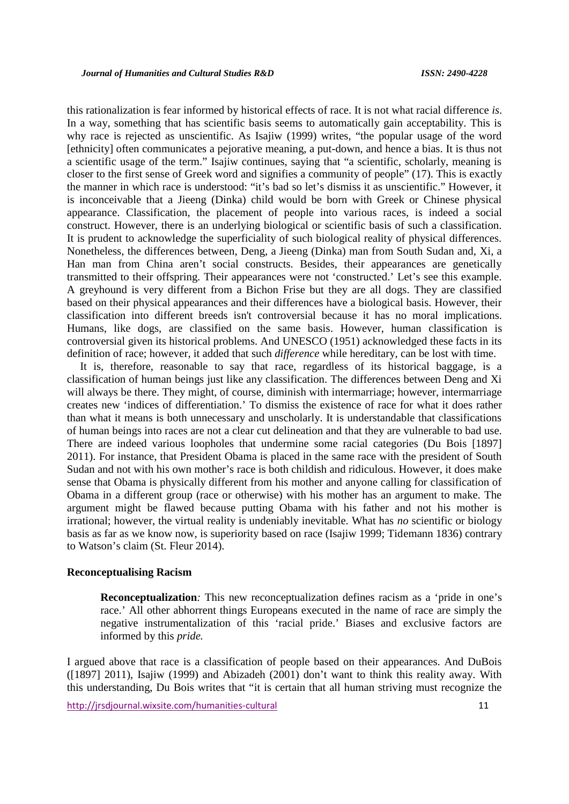this rationalization is fear informed by historical effects of race. It is not what racial difference *is*. In a way, something that has scientific basis seems to automatically gain acceptability. This is why race is rejected as unscientific. As Isajiw (1999) writes, "the popular usage of the word [ethnicity] often communicates a pejorative meaning, a put-down, and hence a bias. It is thus not a scientific usage of the term." Isajiw continues, saying that "a scientific, scholarly, meaning is closer to the first sense of Greek word and signifies a community of people" (17). This is exactly the manner in which race is understood: "it's bad so let's dismiss it as unscientific." However, it is inconceivable that a Jieeng (Dinka) child would be born with Greek or Chinese physical appearance. Classification, the placement of people into various races, is indeed a social construct. However, there is an underlying biological or scientific basis of such a classification. It is prudent to acknowledge the superficiality of such biological reality of physical differences. Nonetheless, the differences between, Deng, a Jieeng (Dinka) man from South Sudan and, Xi, a Han man from China aren't social constructs. Besides, their appearances are genetically transmitted to their offspring. Their appearances were not 'constructed.' Let's see this example. A greyhound is very different from a Bichon Frise but they are all dogs. They are classified based on their physical appearances and their differences have a biological basis. However, their classification into different breeds isn't controversial because it has no moral implications. Humans, like dogs, are classified on the same basis. However, human classification is controversial given its historical problems. And UNESCO (1951) acknowledged these facts in its definition of race; however, it added that such *difference* while hereditary, can be lost with time.

It is, therefore, reasonable to say that race, regardless of its historical baggage, is a classification of human beings just like any classification. The differences between Deng and Xi will always be there. They might, of course, diminish with intermarriage; however, intermarriage creates new 'indices of differentiation.' To dismiss the existence of race for what it does rather than what it means is both unnecessary and unscholarly. It is understandable that classifications of human beings into races are not a clear cut delineation and that they are vulnerable to bad use. There are indeed various loopholes that undermine some racial categories (Du Bois [1897] 2011). For instance, that President Obama is placed in the same race with the president of South Sudan and not with his own mother's race is both childish and ridiculous. However, it does make sense that Obama is physically different from his mother and anyone calling for classification of Obama in a different group (race or otherwise) with his mother has an argument to make. The argument might be flawed because putting Obama with his father and not his mother is irrational; however, the virtual reality is undeniably inevitable. What has *no* scientific or biology basis as far as we know now, is superiority based on race (Isajiw 1999; Tidemann 1836) contrary to Watson's claim (St. Fleur 2014).

## **Reconceptualising Racism**

**Reconceptualization***:* This new reconceptualization defines racism as a 'pride in one's race.' All other abhorrent things Europeans executed in the name of race are simply the negative instrumentalization of this 'racial pride.' Biases and exclusive factors are informed by this *pride.*

I argued above that race is a classification of people based on their appearances. And DuBois ( $[1897]$  2011), Isajiw (1999) and Abizadeh (2001) don't want to think this reality away. With this understanding, Du Bois writes that "it is certain that all human striving must recognize the

http://irsdiournal.wixsite.com/humanities-cultural 11 11 11 12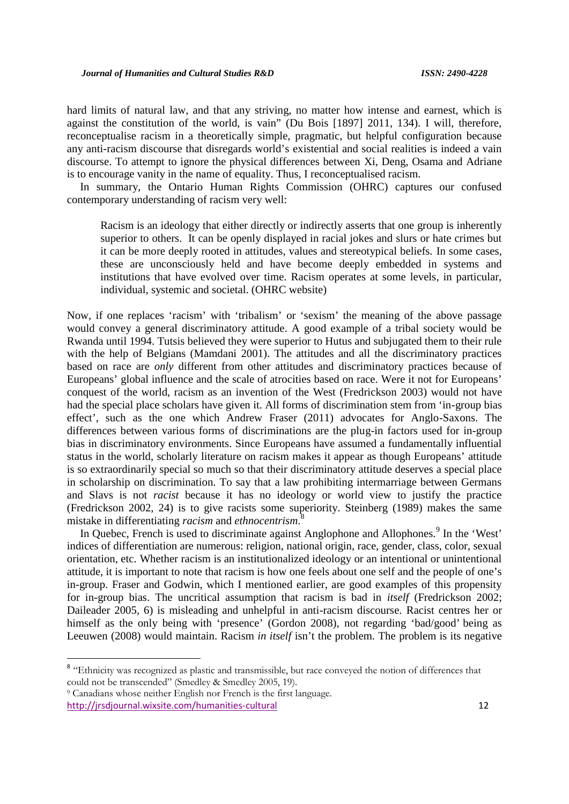hard limits of natural law, and that any striving, no matter how intense and earnest, which is against the constitution of the world, is vain" (Du Bois [1897] 2011, 134). I will, therefore, reconceptualise racism in a theoretically simple, pragmatic, but helpful configuration because any anti-racism discourse that disregards world's existential and social realities is indeed a vain discourse. To attempt to ignore the physical differences between Xi, Deng, Osama and Adriane is to encourage vanity in the name of equality. Thus, I reconceptualised racism.

In summary, the Ontario Human Rights Commission (OHRC) captures our confused contemporary understanding of racism very well:

Racism is an ideology that either directly or indirectly asserts that one group is inherently superior to others. It can be openly displayed in racial jokes and slurs or hate crimes but it can be more deeply rooted in attitudes, values and stereotypical beliefs. In some cases, these are unconsciously held and have become deeply embedded in systems and institutions that have evolved over time. Racism operates at some levels, in particular, individual, systemic and societal. (OHRC website)

Now, if one replaces 'racism' with 'tribalism' or 'sexism' the meaning of the above passage would convey a general discriminatory attitude. A good example of a tribal society would be Rwanda until 1994. Tutsis believed they were superior to Hutus and subjugated them to their rule with the help of Belgians (Mamdani 2001). The attitudes and all the discriminatory practices based on race are *only* different from other attitudes and discriminatory practices because of Europeans' global influence and the scale of atrocities based on race. Were it not for Europeans' conquest of the world, racism as an invention of the West (Fredrickson 2003) would not have had the special place scholars have given it. All forms of discrimination stem from 'in-group bias effect', such as the one which Andrew Fraser (2011) advocates for Anglo-Saxons. The differences between various forms of discriminations are the plug-in factors used for in-group bias in discriminatory environments. Since Europeans have assumed a fundamentally influential status in the world, scholarly literature on racism makes it appear as though Europeans' attitude is so extraordinarily special so much so that their discriminatory attitude deserves a special place in scholarship on discrimination. To say that a law prohibiting intermarriage between Germans and Slavs is not *racist* because it has no ideology or world view to justify the practice (Fredrickson 2002, 24) is to give racists some superiority. Steinberg (1989) makes the same mistake in differentiating *racism* and*ethnocentrism*.<sup>8</sup>

In Quebec, French is used to discriminate against Anglophone and Allophones.<sup>9</sup> In the 'West' indices of differentiation are numerous: religion, national origin, race, gender, class, color, sexual orientation, etc. Whether racism is an institutionalized ideology or an intentional or unintentional attitude, it is important to note that racism is how one feels about one self and the people of one's in-group. Fraser and Godwin, which I mentioned earlier, are good examples of this propensity for in-group bias. The uncritical assumption that racism is bad in *itself* (Fredrickson 2002; Daileader 2005, 6) is misleading and unhelpful in anti-racism discourse. Racist centres her or himself as the only being with 'presence' (Gordon 2008), not regarding 'bad/good' being as Leeuwen (2008) would maintain. Racism *in itself* isn't the problem. The problem is its negative

<sup>&</sup>lt;sup>8</sup> "Ethnicity was recognized as plastic and transmissible, but race conveyed the notion of differences that could not be transcended" (Smedley & Smedley 2005, 19).

<sup>9</sup> Canadians whose neither English nor French is the first language.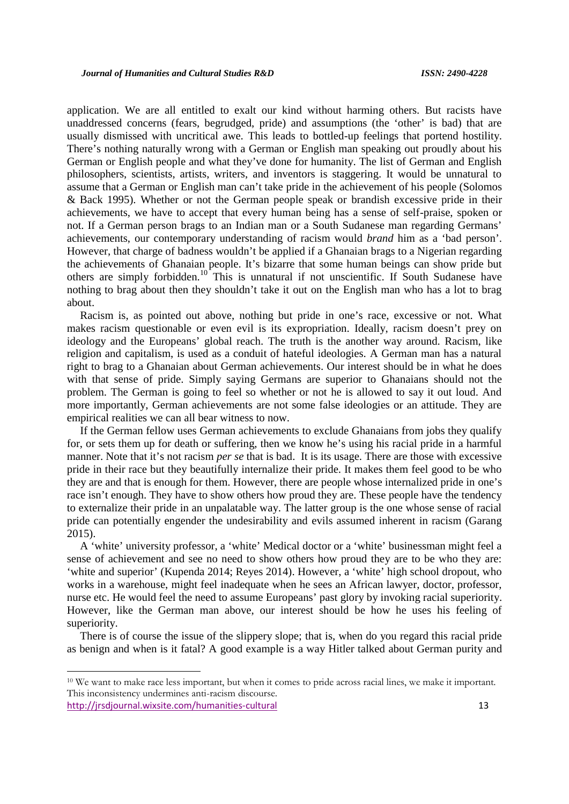application. We are all entitled to exalt our kind without harming others. But racists have unaddressed concerns (fears, begrudged, pride) and assumptions (the 'other' is bad) that are usually dismissed with uncritical awe. This leads to bottled-up feelings that portend hostility. There's nothing naturally wrong with a German or English man speaking out proudly about his German or English people and what they've done for humanity. The list of German and English philosophers, scientists, artists, writers, and inventors is staggering. It would be unnatural to assume that a German or English man can't take pride in the achievement of his people (Solomos & Back 1995). Whether or not the German people speak or brandish excessive pride in their achievements, we have to accept that every human being has a sense of self-praise, spoken or not. If a German person brags to an Indian man or a South Sudanese man regarding Germans' achievements, our contemporary understanding of racism would *brand* him as a 'bad person'. However, that charge of badness wouldn't be applied if a Ghanaian brags to a Nigerian regarding the achievements of Ghanaian people. It's bizarre that some human beings can show pride but others are simply forbidden.<sup>10</sup> This is unnatural if not unscientific. If South Sudanese have nothing to brag about then they shouldn't take it out on the English man who has a lot to brag about.

Racism is, as pointed out above, nothing but pride in one's race, excessive or not. What makes racism questionable or even evil is its expropriation. Ideally, racism doesn't prey on ideology and the Europeans' global reach. The truth is the another way around. Racism, like religion and capitalism, is used as a conduit of hateful ideologies. A German man has a natural right to brag to a Ghanaian about German achievements. Our interest should be in what he does with that sense of pride. Simply saying Germans are superior to Ghanaians should not the problem. The German is going to feel so whether or not he is allowed to say it out loud. And more importantly, German achievements are not some false ideologies or an attitude. They are empirical realities we can all bear witness to now.

If the German fellow uses German achievements to exclude Ghanaians from jobs they qualify for, or sets them up for death or suffering, then we know he's using his racial pride in a harmful manner. Note that it's not racism *per se* that is bad. It is its usage. There are those with excessive pride in their race but they beautifully internalize their pride. It makes them feel good to be who they are and that is enough for them. However, there are people whose internalized pride in one's race isn't enough. They have to show others how proud they are. These people have the tendency to externalize their pride in an unpalatable way. The latter group is the one whose sense of racial pride can potentially engender the undesirability and evils assumed inherent in racism (Garang 2015).

A 'white' university professor, a 'white' Medical doctor or a 'white' businessman might feel a sense of achievement and see no need to show others how proud they are to be who they are: 'white and superior' (Kupenda 2014; Reyes 2014). However, a 'white' high school dropout, who works in a warehouse, might feel inadequate when he sees an African lawyer, doctor, professor, nurse etc. He would feel the need to assume Europeans' past glory by invoking racial superiority. However, like the German man above, our interest should be how he uses his feeling of superiority.

There is of course the issue of the slippery slope; that is, when do you regard this racial pride as benign and when is it fatal? A good example is a way Hitler talked about German purity and

http://jrsdjournal.wixsite.com/humanities-cultural 13 <sup>10</sup> We want to make race less important, but when it comes to pride across racial lines, we make it important. This inconsistency undermines anti-racism discourse.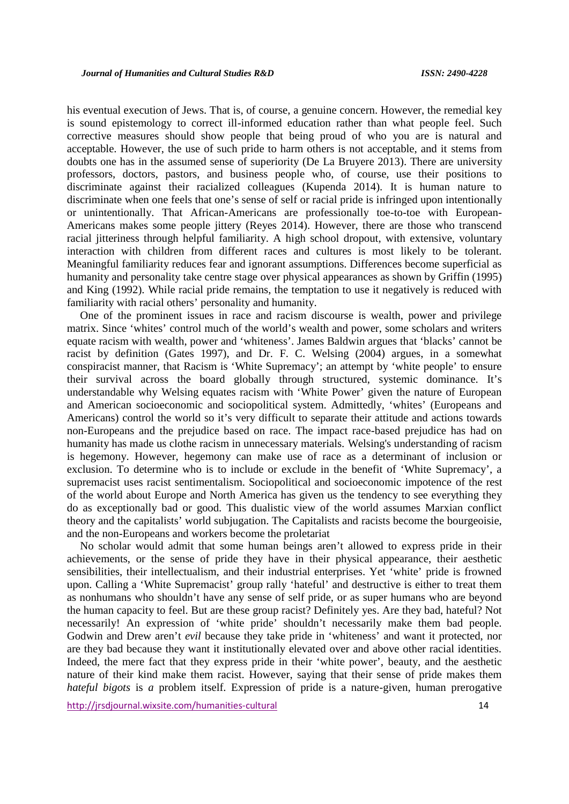his eventual execution of Jews. That is, of course, a genuine concern. However, the remedial key is sound epistemology to correct ill-informed education rather than what people feel. Such corrective measures should show people that being proud of who you are is natural and acceptable. However, the use of such pride to harm others is not acceptable, and it stems from doubts one has in the assumed sense of superiority (De La Bruyere 2013). There are university professors, doctors, pastors, and business people who, of course, use their positions to discriminate against their racialized colleagues (Kupenda 2014). It is human nature to discriminate when one feels that one's sense of self or racial pride is infringed upon intentionally or unintentionally. That African-Americans are professionally toe-to-toe with European- Americans makes some people jittery (Reyes 2014). However, there are those who transcend racial jitteriness through helpful familiarity. A high school dropout, with extensive, voluntary interaction with children from different races and cultures is most likely to be tolerant. Meaningful familiarity reduces fear and ignorant assumptions. Differences become superficial as humanity and personality take centre stage over physical appearances as shown by Griffin (1995) and King (1992). While racial pride remains, the temptation to use it negatively is reduced with familiarity with racial others' personality and humanity.

One of the prominent issues in race and racism discourse is wealth, power and privilege matrix. Since 'whites' control much of the world's wealth and power, some scholars and writers equate racism with wealth, power and 'whiteness'. James Baldwin argues that 'blacks' cannot be racist by definition (Gates 1997), and Dr. F. C. Welsing (2004) argues, in a somewhat conspiracist manner, that Racism is 'White Supremacy'; an attempt by 'white people' to ensure their survival across the board globally through structured, systemic dominance. It's understandable why Welsing equates racism with 'White Power' given the nature of European and American socioeconomic and sociopolitical system. Admittedly, 'whites' (Europeans and Americans) control the world so it's very difficult to separate their attitude and actions towards non-Europeans and the prejudice based on race. The impact race-based prejudice has had on humanity has made us clothe racism in unnecessary materials. Welsing's understanding of racism is hegemony. However, hegemony can make use of race as a determinant of inclusion or exclusion. To determine who is to include or exclude in the benefit of 'White Supremacy', a supremacist uses racist sentimentalism. Sociopolitical and socioeconomic impotence of the rest of the world about Europe and North America has given us the tendency to see everything they do as exceptionally bad or good. This dualistic view of the world assumes Marxian conflict theory and the capitalists' world subjugation. The Capitalists and racists become the bourgeoisie, and the non-Europeans and workers become the proletariat

No scholar would admit that some human beings aren't allowed to express pride in their achievements, or the sense of pride they have in their physical appearance, their aesthetic sensibilities, their intellectualism, and their industrial enterprises. Yet 'white' pride is frowned upon. Calling a 'White Supremacist' group rally 'hateful' and destructive is either to treat them as nonhumans who shouldn't have any sense of self pride, or as super humans who are beyond the human capacity to feel. But are these group racist? Definitely yes. Are they bad, hateful? Not necessarily! An expression of 'white pride' shouldn't necessarily make them bad people. Godwin and Drew aren't *evil* because they take pride in 'whiteness' and want it protected, nor are they bad because they want it institutionally elevated over and above other racial identities. Indeed, the mere fact that they express pride in their 'white power', beauty, and the aesthetic nature of their kind make them racist. However, saying that their sense of pride makes them *hateful bigots* is *a* problem itself. Expression of pride is a nature-given, human prerogative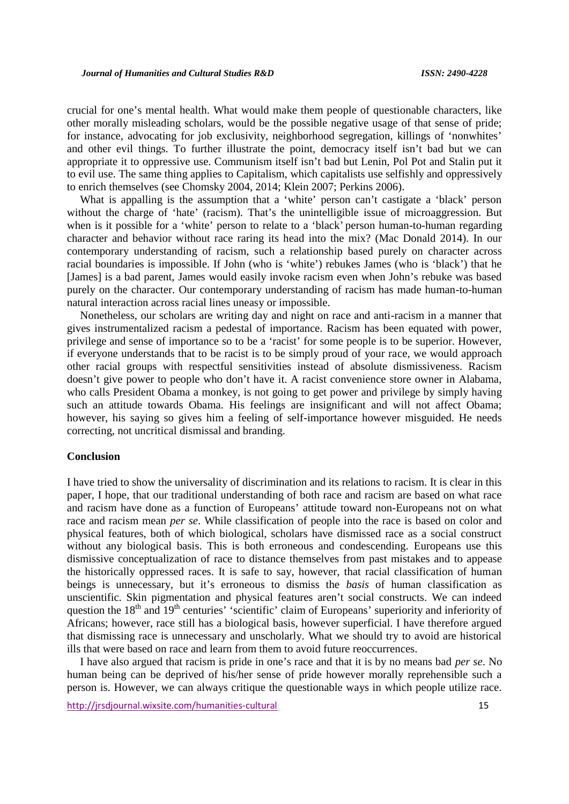crucial for one's mental health. What would make them people of questionable characters, like other morally misleading scholars, would be the possible negative usage of that sense of pride; for instance, advocating for job exclusivity, neighborhood segregation, killings of 'nonwhites' and other evil things. To further illustrate the point, democracy itself isn't bad but we can appropriate it to oppressive use. Communism itself isn't bad but Lenin, Pol Pot and Stalin put it to evil use. The same thing applies to Capitalism, which capitalists use selfishly and oppressively to enrich themselves (see Chomsky 2004, 2014; Klein 2007; Perkins 2006).

What is appalling is the assumption that a 'white' person can't castigate a 'black' person without the charge of 'hate' (racism). That's the unintelligible issue of microaggression. But when is it possible for a 'white' person to relate to a 'black' person human-to-human regarding character and behavior without race raring its head into the mix? (Mac Donald 2014). In our contemporary understanding of racism, such a relationship based purely on character across racial boundaries is impossible. If John (who is 'white') rebukes James (who is 'black') that he [James] is a bad parent, James would easily invoke racism even when John's rebuke was based purely on the character. Our contemporary understanding of racism has made human-to-human natural interaction across racial lines uneasy or impossible.

Nonetheless, our scholars are writing day and night on race and anti-racism in a manner that gives instrumentalized racism a pedestal of importance. Racism has been equated with power, privilege and sense of importance so to be a 'racist' for some people is to be superior. However, if everyone understands that to be racist is to be simply proud of your race, we would approach other racial groups with respectful sensitivities instead of absolute dismissiveness. Racism doesn't give power to people who don't have it. A racist convenience store owner in Alabama, who calls President Obama a monkey, is not going to get power and privilege by simply having such an attitude towards Obama. His feelings are insignificant and will not affect Obama; however, his saying so gives him a feeling of self-importance however misguided. He needs correcting, not uncritical dismissal and branding.

### **Conclusion**

I have tried to show the universality of discrimination and its relations to racism. It is clear in this paper, I hope, that our traditional understanding of both race and racism are based on what race and racism have done as a function of Europeans' attitude toward non-Europeans not on what race and racism mean *per se*. While classification of people into the race is based on color and physical features, both of which biological, scholars have dismissed race as a social construct without any biological basis. This is both erroneous and condescending. Europeans use this dismissive conceptualization of race to distance themselves from past mistakes and to appease the historically oppressed races. It is safe to say, however, that racial classification of human beings is unnecessary, but it's erroneous to dismiss the *basis* of human classification as unscientific. Skin pigmentation and physical features aren't social constructs. We can indeed question the 18<sup>th</sup> and 19<sup>th</sup> centuries' 'scientific' claim of Europeans' superiority and inferiority of Africans; however, race still has a biological basis, however superficial. I have therefore argued that dismissing race is unnecessary and unscholarly. What we should try to avoid are historical ills that were based on race and learn from them to avoid future reoccurrences.

I have also argued that racism is pride in one's race and that it is by no means bad *per se*. No human being can be deprived of his/her sense of pride however morally reprehensible such a person is. However, we can always critique the questionable ways in which people utilize race.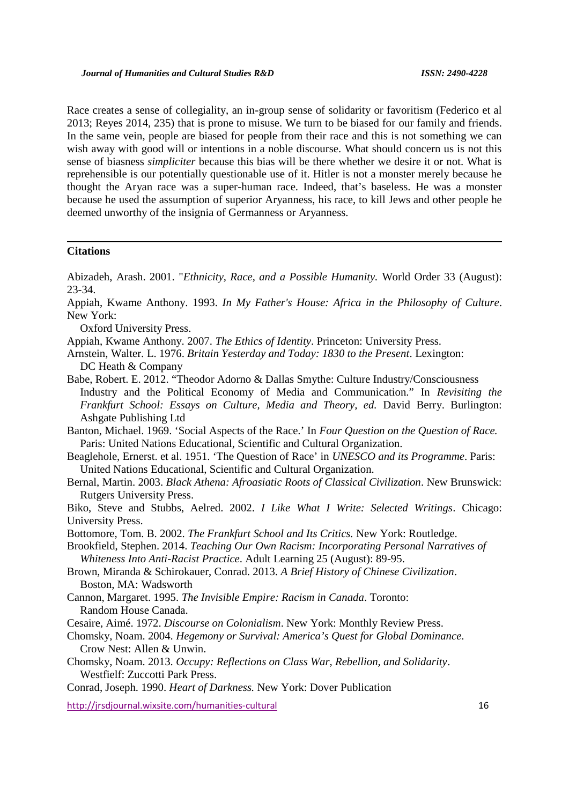Race creates a sense of collegiality, an in-group sense of solidarity or favoritism (Federico et al 2013; Reyes 2014, 235) that is prone to misuse. We turn to be biased for our family and friends. In the same vein, people are biased for people from their race and this is not something we can wish away with good will or intentions in a noble discourse. What should concern us is not this sense of biasness *simpliciter* because this bias will be there whether we desire it or not. What is reprehensible is our potentially questionable use of it. Hitler is not a monster merely because he thought the Aryan race was a super-human race. Indeed, that's baseless. He was a monster because he used the assumption of superior Aryanness, his race, to kill Jews and other people he deemed unworthy of the insignia of Germanness or Aryanness.

### **Citations**

Abizadeh, Arash. 2001. "*Ethnicity, Race, and a Possible Humanity.* World Order 33 (August): 23-34.

Appiah, Kwame Anthony. 1993. *In My Father's House: Africa in the Philosophy of Culture*. New York:

Oxford University Press.

Appiah, Kwame Anthony. 2007. *The Ethics of Identity*. Princeton: University Press.

- Arnstein, Walter. L. 1976. *Britain Yesterday and Today: 1830 to the Present*. Lexington: DC Heath & Company
- Babe, Robert. E. 2012. "Theodor Adorno & Dallas Smythe: Culture Industry/Consciousness Industry and the Political Economy of Media and Communication." In *Revisiting the Frankfurt School: Essays on Culture, Media and Theory, ed.* David Berry. Burlington: Ashgate Publishing Ltd

Banton, Michael. 1969. 'Social Aspects of the Race.' In *Four Question on the Question of Race.* Paris: United Nations Educational, Scientific and Cultural Organization.

- Beaglehole, Ernerst. et al. 1951. 'The Question of Race' in *UNESCO and its Programme*. Paris: United Nations Educational, Scientific and Cultural Organization.
- Bernal, Martin. 2003. *Black Athena: Afroasiatic Roots of Classical Civilization*. New Brunswick: Rutgers University Press.

Biko, Steve and Stubbs, Aelred. 2002. *I Like What I Write: Selected Writings*. Chicago: University Press.

Bottomore, Tom. B. 2002. *The Frankfurt School and Its Critics.* New York: Routledge.

Brookfield, Stephen. 2014. *Teaching Our Own Racism: Incorporating Personal Narratives of Whiteness Into Anti-Racist Practice*. Adult Learning 25 (August): 89-95.

Brown, Miranda & Schirokauer, Conrad. 2013. *A Brief History of Chinese Civilization*. Boston, MA: Wadsworth

Cannon, Margaret. 1995. *The Invisible Empire: Racism in Canada*. Toronto: Random House Canada.

Cesaire, Aimé. 1972. *Discourse on Colonialism*. New York: Monthly Review Press.

- Chomsky, Noam. 2004. *Hegemony or Survival: America's Quest for Global Dominance*. Crow Nest: Allen & Unwin.
- Chomsky, Noam. 2013. *Occupy: Reflections on Class War, Rebellion, and Solidarity*. Westfielf: Zuccotti Park Press.

Conrad, Joseph. 1990. *Heart of Darkness.* New York: Dover Publication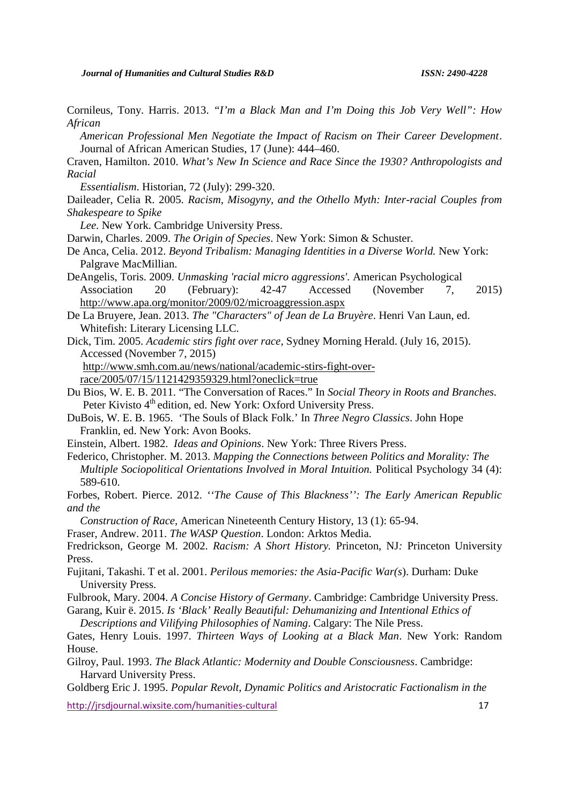Cornileus, Tony. Harris. 2013. *"I'm a Black Man and I'm Doing this Job Very Well": How African*

*American Professional Men Negotiate the Impact of Racism on Their Career Development*. Journal of African American Studies, 17 (June): 444–460.

Craven, Hamilton. 2010. *What's New In Science and Race Since the 1930? Anthropologists and Racial*

*Essentialism*. Historian, 72 (July): 299-320.

Daileader, Celia R. 2005. *Racism, Misogyny, and the Othello Myth: Inter-racial Couples from Shakespeare to Spike*

*Lee*. New York. Cambridge University Press.

Darwin, Charles. 2009. *The Origin of Species*. New York: Simon & Schuster.

De Anca, Celia. 2012. *Beyond Tribalism: Managing Identities in a Diverse World.* New York: Palgrave MacMillian.

DeAngelis, Toris. 2009. *Unmasking 'racial micro aggressions'.* American Psychological Association 20 (February): 42-47 Accessed (November 7, 2015) http://www.apa.org/monitor/2009/02/microaggression.aspx

De La Bruyere, Jean. 2013. *The "Characters" of Jean de La Bruyère*. Henri Van Laun, ed. Whitefish: Literary Licensing LLC.

Dick, Tim. 2005. *Academic stirs fight over race*, Sydney Morning Herald. (July 16, 2015). Accessed (November 7, 2015)

http://www.smh.com.au/news/national/academic-stirs-fight-overrace/2005/07/15/1121429359329.html?oneclick=true

Du Bios, W. E. B. 2011. "The Conversation of Races." In *Social Theory in Roots and Branches.*

Peter Kivisto 4<sup>th</sup> edition, ed. New York: Oxford University Press.

DuBois, W. E. B. 1965. 'The Souls of Black Folk.' In *Three Negro Classics*. John Hope Franklin, ed. New York: Avon Books.

Einstein, Albert. 1982. *Ideas and Opinions*. New York: Three Rivers Press.

Federico, Christopher. M. 2013. *Mapping the Connections between Politics and Morality: The Multiple Sociopolitical Orientations Involved in Moral Intuition.* Political Psychology 34 (4): 589-610.

Forbes, Robert. Pierce. 2012. *''The Cause of This Blackness'': The Early American Republic and the*

*Construction of Race,* American Nineteenth Century History, 13 (1): 65-94.

Fraser, Andrew. 2011. *The WASP Question*. London: Arktos Media.

Fredrickson, George M. 2002. *Racism: A Short History.* Princeton, NJ*:* Princeton University Press.

Fujitani, Takashi. T et al. 2001. *Perilous memories: the Asia-Pacific War(s*). Durham: Duke University Press.

Fulbrook, Mary. 2004. *A Concise History of Germany*. Cambridge: Cambridge University Press.

Garang, Kuir ë. 2015. *Is 'Black' Really Beautiful: Dehumanizing and Intentional Ethics of*

*Descriptions and Vilifying Philosophies of Naming*. Calgary: The Nile Press.

Gates, Henry Louis. 1997. *Thirteen Ways of Looking at a Black Man*. New York: Random House.

Gilroy, Paul. 1993. *The Black Atlantic: Modernity and Double Consciousness*. Cambridge: Harvard University Press.

Goldberg Eric J. 1995. *Popular Revolt, Dynamic Politics and Aristocratic Factionalism in the*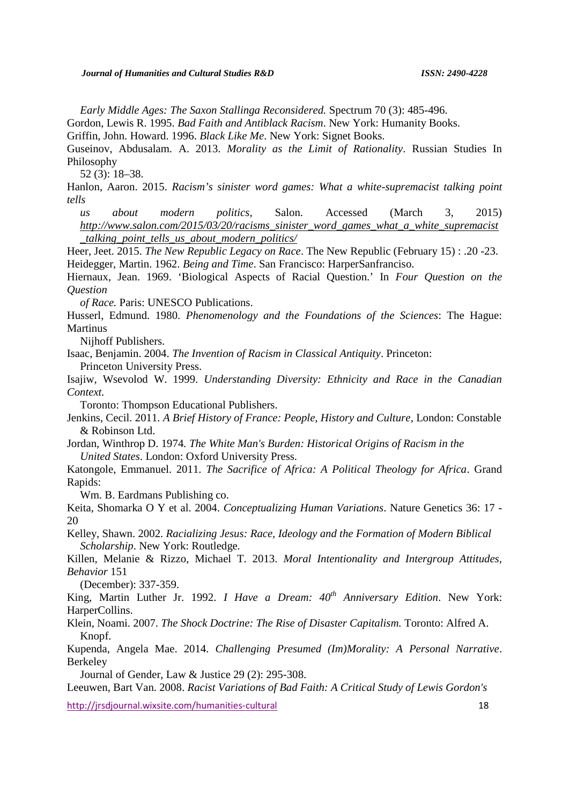*Early Middle Ages: The Saxon Stallinga Reconsidered.* Spectrum 70 (3): 485-496.

Gordon, Lewis R. 1995. *Bad Faith and Antiblack Racism*. New York: Humanity Books.

Griffin, John. Howard. 1996. *Black Like Me*. New York: Signet Books.

Guseinov, Abdusalam. A. 2013. *Morality as the Limit of Rationality*. Russian Studies In Philosophy

52 (3): 18–38.

Hanlon, Aaron. 2015. *Racism's sinister word games: What a white-supremacist talking point tells*

*us about modern politics,* Salon. Accessed (March 3, 2015) *http://www.salon.com/2015/03/20/racisms\_sinister\_word\_games\_what\_a\_white\_supremacist \_talking\_point\_tells\_us\_about\_modern\_politics/*

Heer, Jeet. 2015. *The New Republic Legacy on Race*. The New Republic (February 15) : .20 -23. Heidegger, Martin. 1962. *Being and Time*. San Francisco: HarperSanfranciso.

Hiernaux, Jean. 1969. 'Biological Aspects of Racial Question.' In *Four Question on the Question*

*of Race.* Paris: UNESCO Publications.

Husserl, Edmund. 1980. *Phenomenology and the Foundations of the Sciences*: The Hague: Martinus

Nijhoff Publishers.

Isaac, Benjamin. 2004. *The Invention of Racism in Classical Antiquity*. Princeton: Princeton University Press.

Isajiw, Wsevolod W. 1999. *Understanding Diversity: Ethnicity and Race in the Canadian Context.*

Toronto: Thompson Educational Publishers.

Jenkins, Cecil. 2011. *A Brief History of France: People, History and Culture*, London: Constable & Robinson Ltd.

Jordan, Winthrop D. 1974*. The White Man's Burden: Historical Origins of Racism in the United States*. London: Oxford University Press.

Katongole, Emmanuel. 2011. *The Sacrifice of Africa: A Political Theology for Africa*. Grand Rapids:

Wm. B. Eardmans Publishing co.

Keita, Shomarka O Y et al. 2004. *Conceptualizing Human Variations*. Nature Genetics 36: 17 - 20

Kelley, Shawn. 2002. *Racializing Jesus: Race, Ideology and the Formation of Modern Biblical Scholarship*. New York: Routledge.

Killen, Melanie & Rizzo, Michael T. 2013. *Moral Intentionality and Intergroup Attitudes, Behavior* 151

(December): 337-359.

King, Martin Luther Jr. 1992. *I Have a Dream: 40th Anniversary Edition*. New York: HarperCollins.

Klein, Noami. 2007. *The Shock Doctrine: The Rise of Disaster Capitalism.* Toronto: Alfred A. Knopf.

Kupenda, Angela Mae. 2014. *Challenging Presumed (Im)Morality: A Personal Narrative*. Berkeley

Journal of Gender, Law & Justice 29 (2): 295-308.

Leeuwen, Bart Van. 2008. *Racist Variations of Bad Faith: A Critical Study of Lewis Gordon's*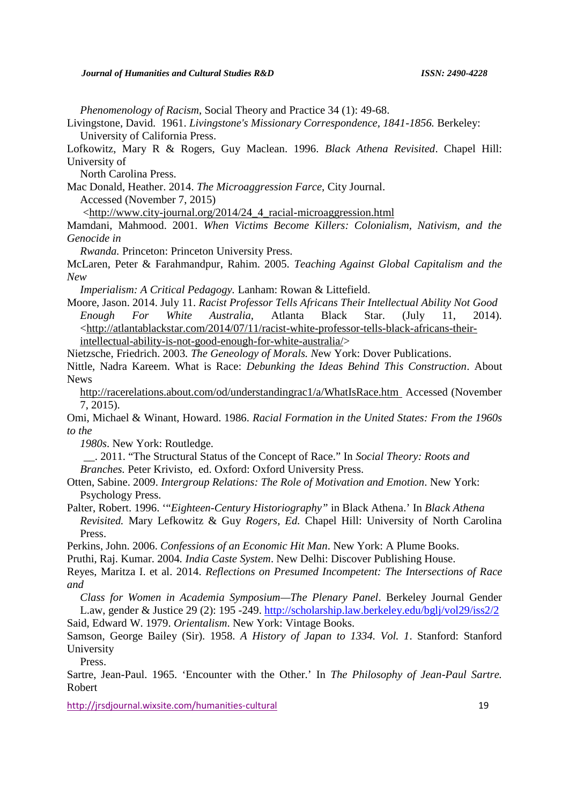*Phenomenology of Racism*, Social Theory and Practice 34 (1): 49-68.

Livingstone, David. 1961. *Livingstone's Missionary Correspondence, 1841-1856.* Berkeley: University of California Press.

Lofkowitz, Mary R & Rogers, Guy Maclean. 1996. *Black Athena Revisited*. Chapel Hill: University of

North Carolina Press.

Mac Donald, Heather. 2014. *The Microaggression Farce,* City Journal. Accessed (November 7, 2015)

<http://www.city-journal.org/2014/24\_4\_racial-microaggression.html

Mamdani, Mahmood. 2001. *When Victims Become Killers: Colonialism, Nativism, and the Genocide in*

*Rwanda.* Princeton: Princeton University Press.

McLaren, Peter & Farahmandpur, Rahim. 2005. *Teaching Against Global Capitalism and the New*

*Imperialism: A Critical Pedagogy.* Lanham: Rowan & Littefield.

Moore, Jason. 2014. July 11. *Racist Professor Tells Africans Their Intellectual Ability Not Good Enough For White Australia,* Atlanta Black Star. (July 11, 2014). <http://atlantablackstar.com/2014/07/11/racist-white-professor-tells-black-africans-theirintellectual-ability-is-not-good-enough-for-white-australia/>

Nietzsche, Friedrich. 2003*. The Geneology of Morals. N*ew York: Dover Publications.

Nittle, Nadra Kareem. What is Race: *Debunking the Ideas Behind This Construction*. About News

http://racerelations.about.com/od/understandingrac1/a/WhatIsRace.htm Accessed (November 7, 2015).

Omi, Michael & Winant, Howard. 1986. *Racial Formation in the United States: From the 1960s to the*

*1980s*. New York: Routledge.

\_\_. 2011. "The Structural Status of the Concept of Race." In *Social Theory: Roots and Branches.* Peter Krivisto, ed. Oxford: Oxford University Press.

Otten, Sabine. 2009. *Intergroup Relations: The Role of Motivation and Emotion*. New York: Psychology Press.

Palter, Robert. 1996. '"*Eighteen-Century Historiography"* in Black Athena.' In *Black Athena Revisited.* Mary Lefkowitz & Guy *Rogers, Ed.* Chapel Hill: University of North Carolina Press.

Perkins, John. 2006. *Confessions of an Economic Hit Man*. New York: A Plume Books.

Pruthi, Raj. Kumar. 2004*. India Caste System*. New Delhi: Discover Publishing House.

Reyes, Maritza I. et al. 2014. *Reflections on Presumed Incompetent: The Intersections of Race and*

*Class for Women in Academia Symposium—The Plenary Panel*. Berkeley Journal Gender L.aw, gender & Justice 29 (2): 195 -249. http://scholarship.law.berkeley.edu/bglj/vol29/iss2/2 Said, Edward W. 1979. *Orientalism*. New York: Vintage Books.

Samson, George Bailey (Sir). 1958. *A History of Japan to 1334. Vol. 1*. Stanford: Stanford University

Press.

Sartre, Jean-Paul. 1965. 'Encounter with the Other.' In *The Philosophy of Jean-Paul Sartre.* Robert